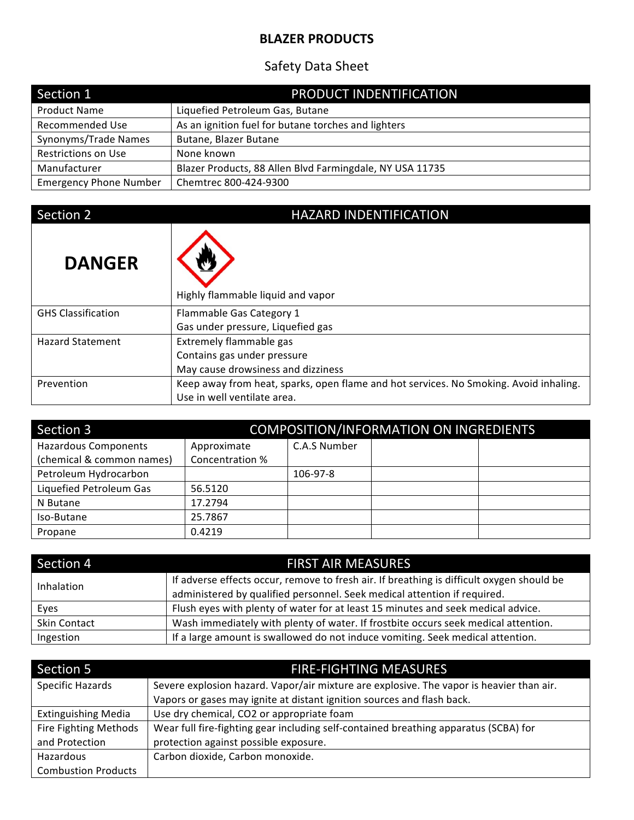## **BLAZER PRODUCTS**

## Safety Data Sheet

| Section 1                     | PRODUCT INDENTIFICATION                                  |
|-------------------------------|----------------------------------------------------------|
| <b>Product Name</b>           | Liquefied Petroleum Gas, Butane                          |
| <b>Recommended Use</b>        | As an ignition fuel for butane torches and lighters      |
| Synonyms/Trade Names          | Butane, Blazer Butane                                    |
| <b>Restrictions on Use</b>    | None known                                               |
| Manufacturer                  | Blazer Products, 88 Allen Blvd Farmingdale, NY USA 11735 |
| <b>Emergency Phone Number</b> | Chemtrec 800-424-9300                                    |

## Section 2 HAZARD INDENTIFICATION

| <b>DANGER</b>             | Highly flammable liquid and vapor                                                     |
|---------------------------|---------------------------------------------------------------------------------------|
| <b>GHS Classification</b> | Flammable Gas Category 1                                                              |
|                           | Gas under pressure, Liquefied gas                                                     |
| <b>Hazard Statement</b>   | Extremely flammable gas                                                               |
|                           | Contains gas under pressure                                                           |
|                           | May cause drowsiness and dizziness                                                    |
| Prevention                | Keep away from heat, sparks, open flame and hot services. No Smoking. Avoid inhaling. |
|                           | Use in well ventilate area.                                                           |

| Section 3                   | COMPOSITION/INFORMATION ON INGREDIENTS |              |  |  |  |  |
|-----------------------------|----------------------------------------|--------------|--|--|--|--|
| <b>Hazardous Components</b> | Approximate                            | C.A.S Number |  |  |  |  |
| (chemical & common names)   | Concentration %                        |              |  |  |  |  |
| Petroleum Hydrocarbon       |                                        | 106-97-8     |  |  |  |  |
| Liquefied Petroleum Gas     | 56.5120                                |              |  |  |  |  |
| N Butane                    | 17.2794                                |              |  |  |  |  |
| Iso-Butane                  | 25.7867                                |              |  |  |  |  |
| Propane                     | 0.4219                                 |              |  |  |  |  |

| Section 4    | <b>FIRST AIR MEASURES</b>                                                                 |
|--------------|-------------------------------------------------------------------------------------------|
| Inhalation   | If adverse effects occur, remove to fresh air. If breathing is difficult oxygen should be |
|              | administered by qualified personnel. Seek medical attention if required.                  |
| Eyes         | Flush eyes with plenty of water for at least 15 minutes and seek medical advice.          |
| Skin Contact | Wash immediately with plenty of water. If frostbite occurs seek medical attention.        |
| Ingestion    | If a large amount is swallowed do not induce vomiting. Seek medical attention.            |

| Section 5                  | <b>FIRE-FIGHTING MEASURES</b>                                                            |  |  |
|----------------------------|------------------------------------------------------------------------------------------|--|--|
| Specific Hazards           | Severe explosion hazard. Vapor/air mixture are explosive. The vapor is heavier than air. |  |  |
|                            | Vapors or gases may ignite at distant ignition sources and flash back.                   |  |  |
| <b>Extinguishing Media</b> | Use dry chemical, CO2 or appropriate foam                                                |  |  |
| Fire Fighting Methods      | Wear full fire-fighting gear including self-contained breathing apparatus (SCBA) for     |  |  |
| and Protection             | protection against possible exposure.                                                    |  |  |
| Hazardous                  | Carbon dioxide, Carbon monoxide.                                                         |  |  |
| <b>Combustion Products</b> |                                                                                          |  |  |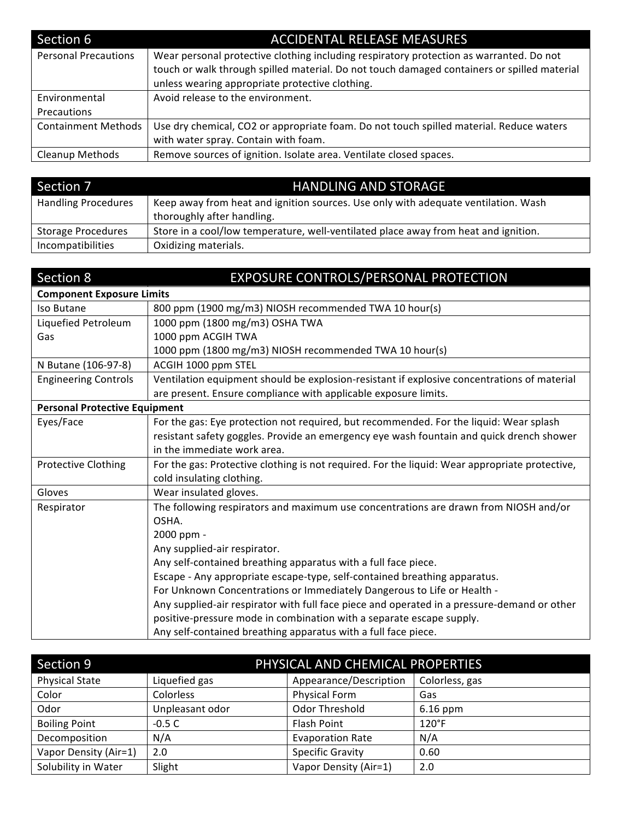| Section 6                   | <b>ACCIDENTAL RELEASE MEASURES</b>                                                                                                                                                                                                        |
|-----------------------------|-------------------------------------------------------------------------------------------------------------------------------------------------------------------------------------------------------------------------------------------|
| <b>Personal Precautions</b> | Wear personal protective clothing including respiratory protection as warranted. Do not<br>touch or walk through spilled material. Do not touch damaged containers or spilled material<br>unless wearing appropriate protective clothing. |
| Environmental               | Avoid release to the environment.                                                                                                                                                                                                         |
| <b>Precautions</b>          |                                                                                                                                                                                                                                           |
| <b>Containment Methods</b>  | Use dry chemical, CO2 or appropriate foam. Do not touch spilled material. Reduce waters                                                                                                                                                   |
|                             | with water spray. Contain with foam.                                                                                                                                                                                                      |
| Cleanup Methods             | Remove sources of ignition. Isolate area. Ventilate closed spaces.                                                                                                                                                                        |

| Section 7                  | <b>HANDLING AND STORAGE</b>                                                         |
|----------------------------|-------------------------------------------------------------------------------------|
| <b>Handling Procedures</b> | Keep away from heat and ignition sources. Use only with adequate ventilation. Wash  |
|                            | thoroughly after handling.                                                          |
| <b>Storage Procedures</b>  | Store in a cool/low temperature, well-ventilated place away from heat and ignition. |
| Incompatibilities          | Oxidizing materials.                                                                |

| Section 8                            | EXPOSURE CONTROLS/PERSONAL PROTECTION                                                          |
|--------------------------------------|------------------------------------------------------------------------------------------------|
| <b>Component Exposure Limits</b>     |                                                                                                |
| Iso Butane                           | 800 ppm (1900 mg/m3) NIOSH recommended TWA 10 hour(s)                                          |
| Liquefied Petroleum                  | 1000 ppm (1800 mg/m3) OSHA TWA                                                                 |
| Gas                                  | 1000 ppm ACGIH TWA                                                                             |
|                                      | 1000 ppm (1800 mg/m3) NIOSH recommended TWA 10 hour(s)                                         |
| N Butane (106-97-8)                  | ACGIH 1000 ppm STEL                                                                            |
| <b>Engineering Controls</b>          | Ventilation equipment should be explosion-resistant if explosive concentrations of material    |
|                                      | are present. Ensure compliance with applicable exposure limits.                                |
| <b>Personal Protective Equipment</b> |                                                                                                |
| Eyes/Face                            | For the gas: Eye protection not required, but recommended. For the liquid: Wear splash         |
|                                      | resistant safety goggles. Provide an emergency eye wash fountain and quick drench shower       |
|                                      | in the immediate work area.                                                                    |
| <b>Protective Clothing</b>           | For the gas: Protective clothing is not required. For the liquid: Wear appropriate protective, |
|                                      | cold insulating clothing.                                                                      |
| Gloves                               | Wear insulated gloves.                                                                         |
| Respirator                           | The following respirators and maximum use concentrations are drawn from NIOSH and/or           |
|                                      | OSHA.                                                                                          |
|                                      | 2000 ppm -                                                                                     |
|                                      | Any supplied-air respirator.                                                                   |
|                                      | Any self-contained breathing apparatus with a full face piece.                                 |
|                                      | Escape - Any appropriate escape-type, self-contained breathing apparatus.                      |
|                                      | For Unknown Concentrations or Immediately Dangerous to Life or Health -                        |
|                                      | Any supplied-air respirator with full face piece and operated in a pressure-demand or other    |
|                                      | positive-pressure mode in combination with a separate escape supply.                           |
|                                      | Any self-contained breathing apparatus with a full face piece.                                 |

| Section 9             | PHYSICAL AND CHEMICAL PROPERTIES |                         |                 |  |
|-----------------------|----------------------------------|-------------------------|-----------------|--|
| <b>Physical State</b> | Liquefied gas                    | Appearance/Description  | Colorless, gas  |  |
| Color                 | Colorless                        | <b>Physical Form</b>    | Gas             |  |
| Odor                  | Unpleasant odor                  | Odor Threshold          | $6.16$ ppm      |  |
| <b>Boiling Point</b>  | $-0.5C$                          | Flash Point             | $120^{\circ}$ F |  |
| Decomposition         | N/A                              | <b>Evaporation Rate</b> | N/A             |  |
| Vapor Density (Air=1) | 2.0                              | <b>Specific Gravity</b> | 0.60            |  |
| Solubility in Water   | Slight                           | Vapor Density (Air=1)   | 2.0             |  |